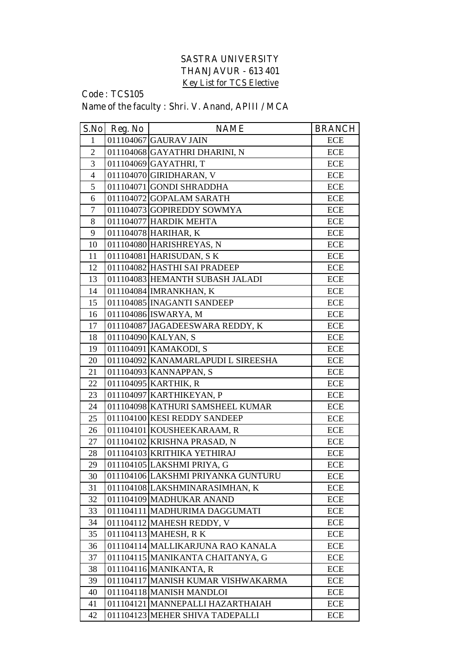## **SASTRA UNIVERSITY THANJAVUR - 613 401 Key List for TCS Elective**

## **Code : TCS105 Name of the faculty : Shri. V. Anand, APIII / MCA**

| S.No           | Reg. No | <b>NAME</b>                        | <b>BRANCH</b> |
|----------------|---------|------------------------------------|---------------|
| $\mathbf{1}$   |         | 011104067 GAURAV JAIN              | <b>ECE</b>    |
| $\overline{2}$ |         | 011104068 GAYATHRI DHARINI, N      | ECE           |
| 3              |         | 011104069 GAYATHRI, T              | <b>ECE</b>    |
| $\overline{4}$ |         | 011104070 GIRIDHARAN, V            | <b>ECE</b>    |
| 5              |         | 011104071 GONDI SHRADDHA           | <b>ECE</b>    |
| 6              |         | 011104072 GOPALAM SARATH           | <b>ECE</b>    |
| $\overline{7}$ |         | 011104073 GOPIREDDY SOWMYA         | <b>ECE</b>    |
| 8              |         | 011104077 HARDIK MEHTA             | <b>ECE</b>    |
| 9              |         | 011104078 HARIHAR, K               | <b>ECE</b>    |
| 10             |         | 011104080 HARISHREYAS, N           | <b>ECE</b>    |
| 11             |         | 011104081 HARISUDAN, SK            | <b>ECE</b>    |
| 12             |         | 011104082 HASTHI SAI PRADEEP       | <b>ECE</b>    |
| 13             |         | 011104083 HEMANTH SUBASH JALADI    | <b>ECE</b>    |
| 14             |         | 011104084 IMRANKHAN, K             | <b>ECE</b>    |
| 15             |         | 011104085 INAGANTI SANDEEP         | <b>ECE</b>    |
| 16             |         | 011104086 ISWARYA, M               | <b>ECE</b>    |
| 17             |         | 011104087 JAGADEESWARA REDDY, K    | <b>ECE</b>    |
| 18             |         | 011104090 KALYAN, S                | <b>ECE</b>    |
| 19             |         | 011104091 KAMAKODI, S              | <b>ECE</b>    |
| 20             |         | 011104092 KANAMARLAPUDI L SIREESHA | <b>ECE</b>    |
| 21             |         | 011104093 KANNAPPAN, S             | <b>ECE</b>    |
| 22             |         | 011104095 KARTHIK, R               | <b>ECE</b>    |
| 23             |         | 011104097 KARTHIKEYAN, P           | <b>ECE</b>    |
| 24             |         | 011104098 KATHURI SAMSHEEL KUMAR   | <b>ECE</b>    |
| 25             |         | 011104100 KESI REDDY SANDEEP       | <b>ECE</b>    |
| 26             |         | 011104101 KOUSHEEKARAAM, R         | <b>ECE</b>    |
| 27             |         | 011104102 KRISHNA PRASAD, N        | <b>ECE</b>    |
| 28             |         | 011104103 KRITHIKA YETHIRAJ        | <b>ECE</b>    |
| 29             |         | 011104105 LAKSHMI PRIYA, G         | <b>ECE</b>    |
| 30             |         | 011104106 LAKSHMI PRIYANKA GUNTURU | ECE           |
| 31             |         | 011104108 LAKSHMINARASIMHAN, K     | <b>ECE</b>    |
| 32             |         | 011104109 MADHUKAR ANAND           | <b>ECE</b>    |
| 33             |         | 011104111 MADHURIMA DAGGUMATI      | <b>ECE</b>    |
| 34             |         | 011104112 MAHESH REDDY, V          | <b>ECE</b>    |
| 35             |         | 011104113 MAHESH, RK               | <b>ECE</b>    |
| 36             |         | 011104114 MALLIKARJUNA RAO KANALA  | ECE           |
| 37             |         | 011104115 MANIKANTA CHAITANYA, G   | <b>ECE</b>    |
| 38             |         | 011104116 MANIKANTA, R             | ECE           |
| 39             |         | 011104117 MANISH KUMAR VISHWAKARMA | <b>ECE</b>    |
| 40             |         | 011104118 MANISH MANDLOI           | <b>ECE</b>    |
| 41             |         | 011104121 MANNEPALLI HAZARTHAIAH   | <b>ECE</b>    |
| 42             |         | 011104123 MEHER SHIVA TADEPALLI    | <b>ECE</b>    |